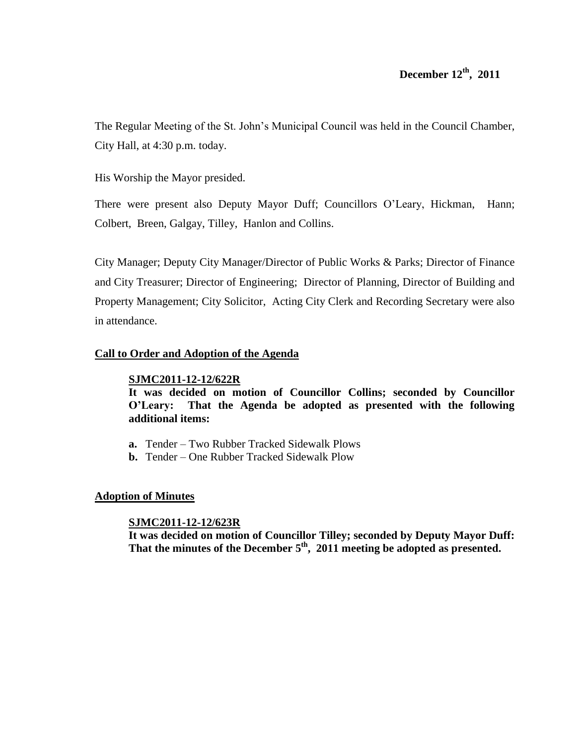The Regular Meeting of the St. John's Municipal Council was held in the Council Chamber, City Hall, at 4:30 p.m. today.

His Worship the Mayor presided.

There were present also Deputy Mayor Duff; Councillors O'Leary, Hickman, Hann; Colbert, Breen, Galgay, Tilley, Hanlon and Collins.

City Manager; Deputy City Manager/Director of Public Works & Parks; Director of Finance and City Treasurer; Director of Engineering; Director of Planning, Director of Building and Property Management; City Solicitor, Acting City Clerk and Recording Secretary were also in attendance.

# **Call to Order and Adoption of the Agenda**

# **SJMC2011-12-12/622R**

**It was decided on motion of Councillor Collins; seconded by Councillor O'Leary: That the Agenda be adopted as presented with the following additional items:**

- **a.** Tender Two Rubber Tracked Sidewalk Plows
- **b.** Tender One Rubber Tracked Sidewalk Plow

# **Adoption of Minutes**

# **SJMC2011-12-12/623R**

**It was decided on motion of Councillor Tilley; seconded by Deputy Mayor Duff: That the minutes of the December 5th , 2011 meeting be adopted as presented.**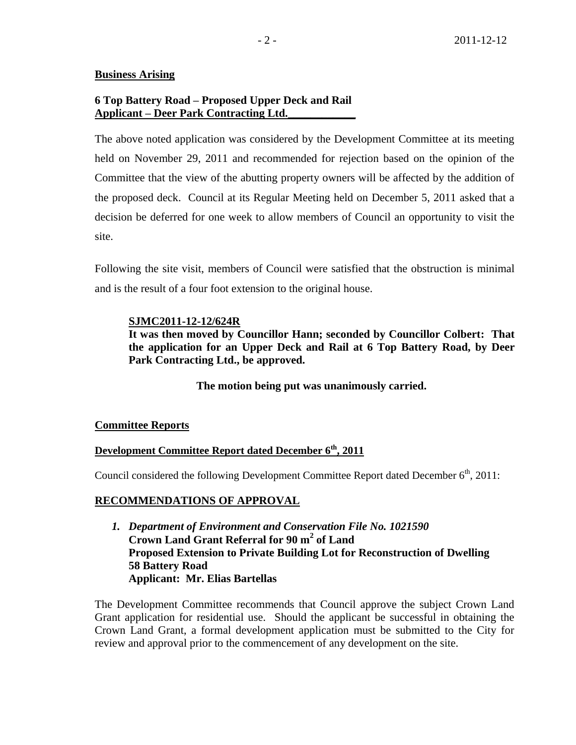# **Business Arising**

# **6 Top Battery Road – Proposed Upper Deck and Rail Applicant – Deer Park Contracting Ltd.\_\_\_\_\_\_\_\_\_\_\_\_**

The above noted application was considered by the Development Committee at its meeting held on November 29, 2011 and recommended for rejection based on the opinion of the Committee that the view of the abutting property owners will be affected by the addition of the proposed deck. Council at its Regular Meeting held on December 5, 2011 asked that a decision be deferred for one week to allow members of Council an opportunity to visit the site.

Following the site visit, members of Council were satisfied that the obstruction is minimal and is the result of a four foot extension to the original house.

## **SJMC2011-12-12/624R**

**It was then moved by Councillor Hann; seconded by Councillor Colbert: That the application for an Upper Deck and Rail at 6 Top Battery Road, by Deer Park Contracting Ltd., be approved.**

**The motion being put was unanimously carried.**

## **Committee Reports**

# **Development Committee Report dated December 6th , 2011**

Council considered the following Development Committee Report dated December  $6<sup>th</sup>$ , 2011:

# **RECOMMENDATIONS OF APPROVAL**

*1. Department of Environment and Conservation File No. 1021590* **Crown Land Grant Referral for 90 m<sup>2</sup> of Land Proposed Extension to Private Building Lot for Reconstruction of Dwelling 58 Battery Road Applicant: Mr. Elias Bartellas**

The Development Committee recommends that Council approve the subject Crown Land Grant application for residential use. Should the applicant be successful in obtaining the Crown Land Grant, a formal development application must be submitted to the City for review and approval prior to the commencement of any development on the site.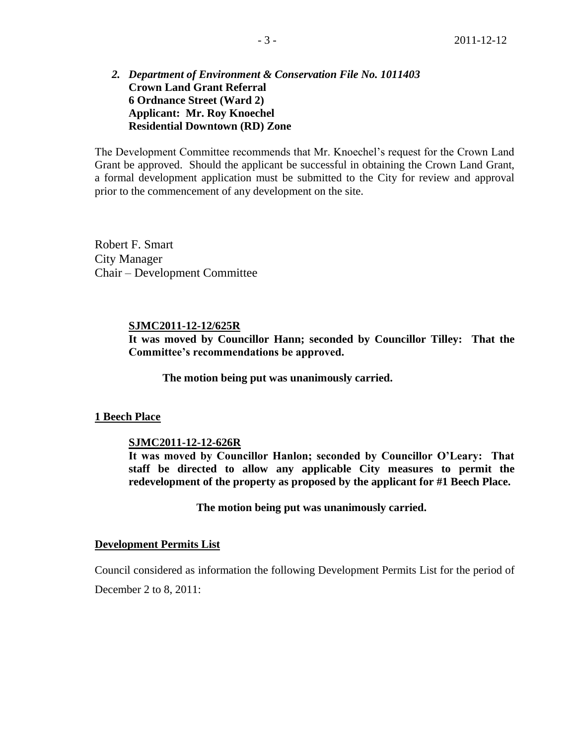# *2. Department of Environment & Conservation File No. 1011403* **Crown Land Grant Referral 6 Ordnance Street (Ward 2) Applicant: Mr. Roy Knoechel Residential Downtown (RD) Zone**

The Development Committee recommends that Mr. Knoechel's request for the Crown Land Grant be approved. Should the applicant be successful in obtaining the Crown Land Grant, a formal development application must be submitted to the City for review and approval prior to the commencement of any development on the site.

Robert F. Smart City Manager Chair – Development Committee

#### **SJMC2011-12-12/625R**

**It was moved by Councillor Hann; seconded by Councillor Tilley: That the Committee's recommendations be approved.**

**The motion being put was unanimously carried.**

#### **1 Beech Place**

#### **SJMC2011-12-12-626R**

**It was moved by Councillor Hanlon; seconded by Councillor O'Leary: That staff be directed to allow any applicable City measures to permit the redevelopment of the property as proposed by the applicant for #1 Beech Place.**

**The motion being put was unanimously carried.**

#### **Development Permits List**

Council considered as information the following Development Permits List for the period of December 2 to 8, 2011: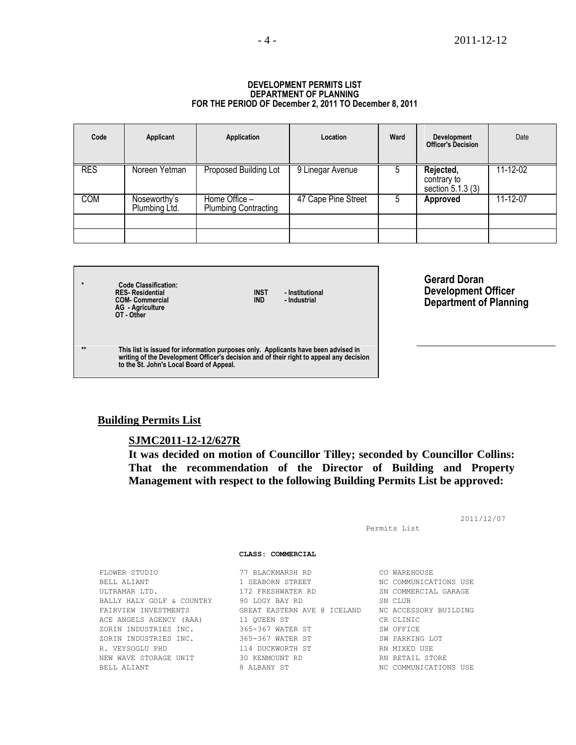#### **DEVELOPMENT PERMITS LIST DEPARTMENT OF PLANNING FOR THE PERIOD OF December 2, 2011 TO December 8, 2011**

| Code       | Applicant                     | Application                                  | Location            | Ward | <b>Development</b><br><b>Officer's Decision</b> | Date     |
|------------|-------------------------------|----------------------------------------------|---------------------|------|-------------------------------------------------|----------|
| <b>RES</b> | Noreen Yetman                 | Proposed Building Lot                        | 9 Linegar Avenue    |      | Rejected,<br>contrary to<br>section 5.1.3 (3)   | 11-12-02 |
| <b>COM</b> | Noseworthy's<br>Plumbing Ltd. | Home Office -<br><b>Plumbing Contracting</b> | 47 Cape Pine Street | b    | <b>Approved</b>                                 | 11-12-07 |
|            |                               |                                              |                     |      |                                                 |          |

**\* Code Classification: RES- Residential INST - Institutional COM- Commercial IND - Industrial AG - Agriculture OT - Other**

**Gerard Doran Development Officer Department of Planning**

**\*\* This list is issued for information purposes only. Applicants have been advised in writing of the Development Officer's decision and of their right to appeal any decision to the St. John's Local Board of Appeal.**

#### **Building Permits List**

#### **SJMC2011-12-12/627R**

**It was decided on motion of Councillor Tilley; seconded by Councillor Collins: That the recommendation of the Director of Building and Property Management with respect to the following Building Permits List be approved:**

2011/12/07 Permits List **CLASS: COMMERCIAL** FLOWER STUDIO 77 BLACKMARSH RD CO WAREHOUSE BELL ALIANT 1 SEABORN STREET NO COMMUNICATIONS USE ULTRAMAR LTD. 172 FRESHWATER RD SN COMMERCIAL GARAGE BALLY HALY GOLF & COUNTRY 90 LOGY BAY RD SN CLUB FAIRVIEW INVESTMENTS GREAT EASTERN AVE @ ICELAND NC ACCESSORY BUILDING ACE ANGELS AGENCY (AAA) 11 QUEEN ST CR CLINIC ZORIN INDUSTRIES INC. 365-367 WATER ST SW OFFICE ZORIN INDUSTRIES INC. 365-367 WATER ST SW PARKING LOT R. VEYSOGLU PHD 114 DUCKWORTH ST RN MIXED USE NEW WAVE STORAGE UNIT 30 KENMOUNT RD RN RETAIL STORE BELL ALIANT 8 ALBANY ST NC COMMUNICATIONS USE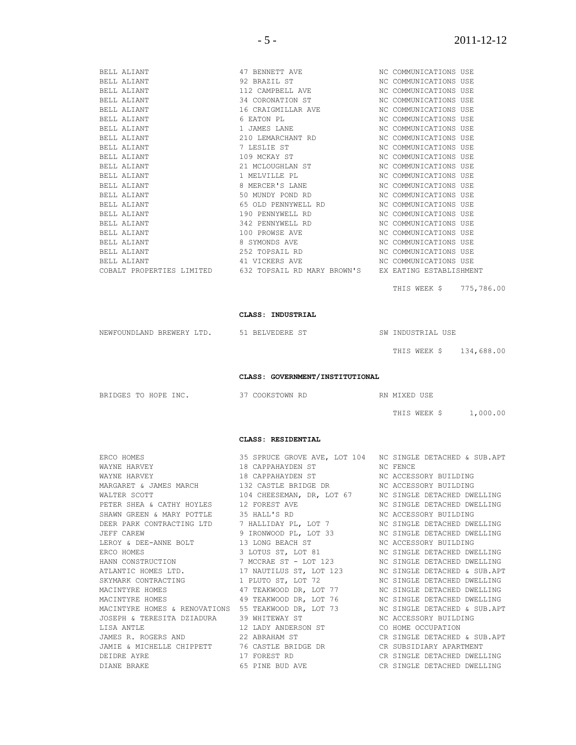| BELL ALIANT | 47 BENNETT AVE                                                                | NC COMMUNICATIONS USE  |  |
|-------------|-------------------------------------------------------------------------------|------------------------|--|
| BELL ALIANT | 92 BRAZIL ST                                                                  | NC COMMUNICATIONS USE  |  |
| BELL ALIANT | 112 CAMPBELL AVE                                                              | NC COMMUNICATIONS USE  |  |
| BELL ALIANT | 34 CORONATION ST                                                              | NC COMMUNICATIONS USE  |  |
| BELL ALIANT | 16 CRAIGMILLAR AVE                                                            | NC COMMUNICATIONS USE  |  |
| BELL ALIANT | 6 EATON PL                                                                    | NC COMMUNICATIONS USE  |  |
| BELL ALIANT | 1 JAMES LANE                                                                  | NC COMMUNICATIONS USE  |  |
| BELL ALIANT | 210 LEMARCHANT RD                                                             | NC COMMUNICATIONS USE  |  |
| BELL ALIANT | 7 LESLIE ST                                                                   | NC COMMUNICATIONS USE  |  |
| BELL ALIANT | 109 MCKAY ST                                                                  | NC COMMUNICATIONS USE  |  |
| BELL ALIANT | 21 MCLOUGHLAN ST                                                              | NC COMMUNICATIONS USE  |  |
| BELL ALIANT | 1 MELVILLE PL                                                                 | NC COMMUNICATIONS USE  |  |
| BELL ALIANT | 8 MERCER'S LANE                                                               | NC COMMUNICATIONS USE  |  |
| BELL ALIANT | 50 MUNDY POND RD                                                              | NC COMMUNICATIONS USE  |  |
| BELL ALIANT | 65 OLD PENNYWELL RD                                                           | NC COMMUNICATIONS USE  |  |
| BELL ALIANT | 190 PENNYWELL RD                                                              | NC COMMUNICATIONS USE  |  |
| BELL ALIANT | 342 PENNYWELL RD                                                              | NC COMMUNICATIONS USE  |  |
| BELL ALIANT | 100 PROWSE AVE                                                                | NC COMMUNICATIONS USE  |  |
| BELL ALIANT | 8 SYMONDS AVE                                                                 | NC COMMUNICATIONS USE  |  |
| BELL ALIANT | 252 TOPSAIL RD                                                                | NC COMMUNICATIONS USE  |  |
| BELL ALIANT | 41 VICKERS AVE                                                                | NC COMMUNICATIONS USE  |  |
|             | COBALT PROPERTIES LIMITED 632 TOPSAIL RD MARY BROWN'S EX EATING ESTABLISHMENT |                        |  |
|             |                                                                               |                        |  |
|             |                                                                               | THIS WEEK \$775,786.00 |  |

**CLASS: INDUSTRIAL**

| NEWFOUNDLAND BREWERY LTD. 51 BELVEDERE ST |  |  |  | SW INDUSTRIAL USE |                         |
|-------------------------------------------|--|--|--|-------------------|-------------------------|
|                                           |  |  |  |                   | THIS WEEK \$ 134,688.00 |

**CLASS: GOVERNMENT/INSTITUTIONAL**

| BRIDGES TO HOPE INC. |  |  | 37 COOKSTOWN RD |  | RN MIXED USE |          |  |
|----------------------|--|--|-----------------|--|--------------|----------|--|
|                      |  |  |                 |  | THIS WEEK \$ | 1,000.00 |  |

#### **CLASS: RESIDENTIAL**

| ERCO HOMES   | 35 SPRUCE GROVE AVE, LOT 104 NC SINGLE DETACHED & SUB.APT                                        |                             |
|--------------|--------------------------------------------------------------------------------------------------|-----------------------------|
| WAYNE HARVEY | 18 CAPPAHAYDEN ST NC FENCE                                                                       |                             |
|              | WAYNE HARVEY                             18 CAPPAHAYDEN ST             NC ACCESSORY BUILDING     |                             |
|              | MARGARET & JAMES MARCH 132 CASTLE BRIDGE DR NO ACCESSORY BUILDING                                |                             |
| WALTER SCOTT | 104 CHEESEMAN, DR, LOT 67 MC SINGLE DETACHED DWELLING                                            |                             |
|              | PETER SHEA & CATHY HOYLES 12 FOREST AVE THE REAL THIS INC SINGLE DETACHED DWELLING               |                             |
|              | SHAWN GREEN & MARY POTTLE 35 HALL'S RD                                                           | NC ACCESSORY BUILDING       |
|              | DEER PARK CONTRACTING LTD 7 HALLIDAY PL, LOT 7 NO SINGLE DETACHED DWELLING                       |                             |
|              | JEFF CAREW <b>19 STAGE CAREW</b> 9 IRONWOOD PL, LOT 33 NO SINGLE DETACHED DWELLING               |                             |
|              | LEROY & DEE-ANNE BOLT 13 LONG BEACH ST NO ACCESSORY BUILDING                                     |                             |
|              | ERCO HOMES 6 1991 COTOS ST, LOT 81 6 2010 NO SINGLE DETACHED DWELLING                            |                             |
|              | HANN CONSTRUCTION TAN THE ST - LOT 123 NO SINGLE DETACHED DWELLING                               |                             |
|              | ATLANTIC HOMES LTD.                 17 NAUTILUS ST, LOT 123         NC SINGLE DETACHED & SUB.APT |                             |
|              | SKYMARK CONTRACTING 1 PLUTO ST, LOT 72 NC SINGLE DETACHED DWELLING                               |                             |
|              |                                                                                                  |                             |
|              | MACINTYRE HOMES 6 6 49 TEAKWOOD DR, LOT 76 6 6 NC SINGLE DETACHED DWELLING                       |                             |
|              | MACINTYRE HOMES & RENOVATIONS 55 TEAKWOOD DR, LOT 73 NO SINGLE DETACHED & SUB.APT                |                             |
|              |                                                                                                  |                             |
|              |                                                                                                  |                             |
|              | JAMES R. ROGERS AND 22 ABRAHAM ST CR SINGLE DETACHED & SUB.APT                                   |                             |
|              |                                                                                                  |                             |
| DEIDRE AYRE  | 17 FOREST RD                                                                                     | CR SINGLE DETACHED DWELLING |
| DIANE BRAKE  | 65 PINE BUD AVE                                                                                  | CR SINGLE DETACHED DWELLING |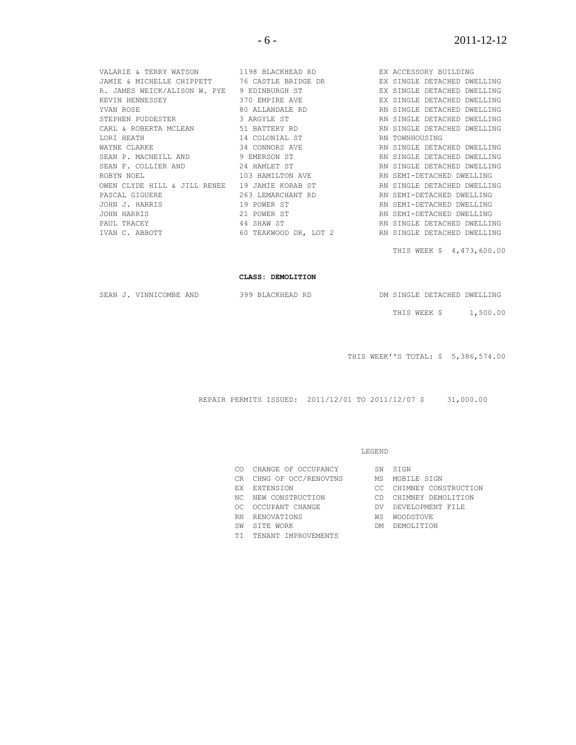|                                                | VALARIE & TERRY WATSON 1198 BLACKHEAD RD BEX ACCESSORY BUILDING                               |                             |
|------------------------------------------------|-----------------------------------------------------------------------------------------------|-----------------------------|
|                                                | JAMIE & MICHELLE CHIPPETT 76 CASTLE BRIDGE DR TEX SINGLE DETACHED DWELLING                    |                             |
|                                                | R. JAMES WEICK/ALISON W. PYE 9 EDINBURGH ST                                                   | EX SINGLE DETACHED DWELLING |
| KEVIN HENNESSEY                                | 370 EMPIRE AVE                                                                                | EX SINGLE DETACHED DWELLING |
| YVAN ROSE                                      | 80 ALLANDALE RD                                                                               | RN SINGLE DETACHED DWELLING |
| STEPHEN PUDDESTER 3 ARGYLE ST                  |                                                                                               | RN SINGLE DETACHED DWELLING |
|                                                | CARL & ROBERTA MCLEAN 6 1 BATTERY RD 6 1 BATTERY RD 6 2 RN SINGLE DETACHED DWELLING           |                             |
|                                                |                                                                                               |                             |
|                                                | WAYNE CLARKE <b>An Example 2008</b> 34 CONNORS AVE <b>EXAMPLE AN SINGLE DETACHED DWELLING</b> |                             |
|                                                | SEAN P. MACNEILL AND 9 EMERSON ST<br>SEAN F. COLLIER AND 24 HAMLET ST                         | RN SINGLE DETACHED DWELLING |
|                                                |                                                                                               | RN SINGLE DETACHED DWELLING |
|                                                | ROBYN NOEL 103 HAMILTON AVE                                                                   | RN SEMI-DETACHED DWELLING   |
| OWEN CLYDE HILL & JILL RENEE 19 JAMIE KORAB ST |                                                                                               | RN SINGLE DETACHED DWELLING |
| PASCAL GIGUERE                                 | 263 LEMARCHANT RD                                                                             | RN SEMI-DETACHED DWELLING   |
| JOHN J. HARRIS                                 | 19 POWER ST                                                                                   | RN SEMI-DETACHED DWELLING   |
| JOHN HARRIS                                    | 21 POWER ST                                                                                   | RN SEMI-DETACHED DWELLING   |
| PAUL TRACEY                                    | 44 SHAW ST                                                                                    | RN SINGLE DETACHED DWELLING |
|                                                | IVAN C. ABBOTT 60 TEAKWOOD DR, LOT 2 RN SINGLE DETACHED DWELLING                              |                             |

THIS WEEK \$ 4,473,600.00

#### **CLASS: DEMOLITION**

|  | DM SINGLE DETACHED DWELLING |  |
|--|-----------------------------|--|
|  |                             |  |

SEAN J. VINNICOMBE AND 399 BLACKHEAD RD

THIS WEEK \$ 1,500.00

THIS WEEK''S TOTAL: \$ 5,386,574.00

REPAIR PERMITS ISSUED: 2011/12/01 TO 2011/12/07 \$ 31,000.00

#### LEGEND

- CO CHANGE OF OCCUPANCY SN SIGN
- CR CHNG OF OCC/RENOVTNS MS MOBILE SIGN
- 
- 
- OC OCCUPANT CHANGE DV DEVELOPMENT FILE
- RN RENOVATIONS WS WOODSTOVE
- SW SITE WORK DM DEMOLITION
- TI TENANT IMPROVEMENTS
- 
- 
- EX EXTENSION CC CHIMNEY CONSTRUCTION NC NEW CONSTRUCTION CD CHIMNEY DEMOLITION EX EXIENSION<br>NC NEW CONSTRUCTION CD CHIMNEY DEMOLITION<br>OC OCCUPANT CHANGE DV DEVELOPMENT FILE
	-
	-
	-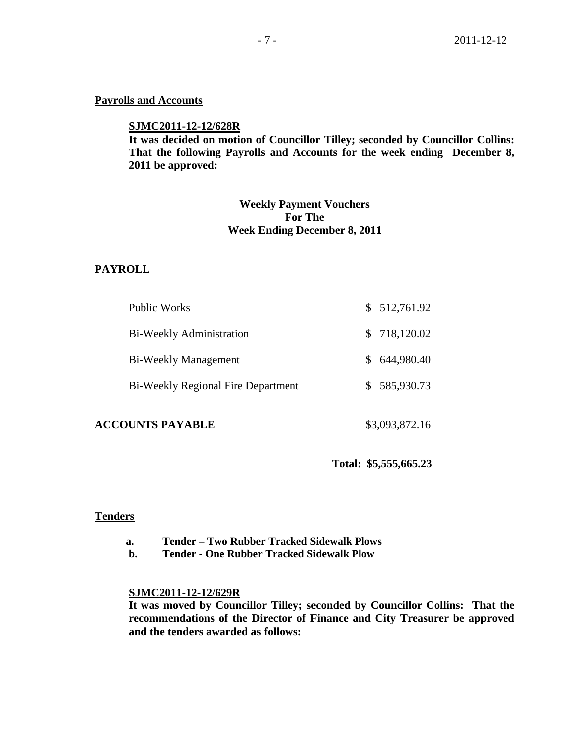#### **Payrolls and Accounts**

#### **SJMC2011-12-12/628R**

**It was decided on motion of Councillor Tilley; seconded by Councillor Collins: That the following Payrolls and Accounts for the week ending December 8, 2011 be approved:** 

# **Weekly Payment Vouchers For The Week Ending December 8, 2011**

#### **PAYROLL**

| Public Works                              | \$512,761.92  |
|-------------------------------------------|---------------|
| Bi-Weekly Administration                  | \$718,120.02  |
| Bi-Weekly Management                      | \$ 644,980.40 |
| <b>Bi-Weekly Regional Fire Department</b> | \$585,930.73  |
|                                           |               |

## **ACCOUNTS PAYABLE** \$3,093,872.16

### **Total: \$5,555,665.23**

#### **Tenders**

- **a. Tender – Two Rubber Tracked Sidewalk Plows**
- **b. Tender - One Rubber Tracked Sidewalk Plow**

# **SJMC2011-12-12/629R**

**It was moved by Councillor Tilley; seconded by Councillor Collins: That the recommendations of the Director of Finance and City Treasurer be approved and the tenders awarded as follows:**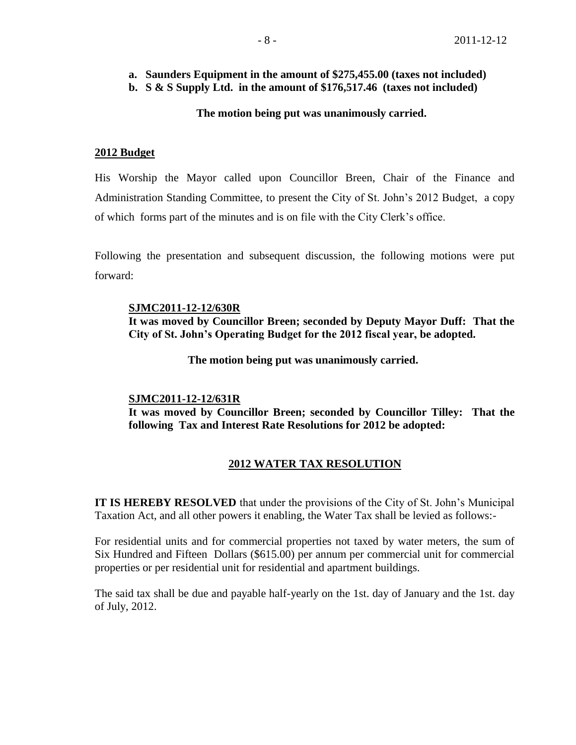# **a. Saunders Equipment in the amount of \$275,455.00 (taxes not included)**

**b. S & S Supply Ltd. in the amount of \$176,517.46 (taxes not included)**

# **The motion being put was unanimously carried.**

## **2012 Budget**

His Worship the Mayor called upon Councillor Breen, Chair of the Finance and Administration Standing Committee, to present the City of St. John's 2012 Budget, a copy of which forms part of the minutes and is on file with the City Clerk's office.

Following the presentation and subsequent discussion, the following motions were put forward:

#### **SJMC2011-12-12/630R**

**It was moved by Councillor Breen; seconded by Deputy Mayor Duff: That the City of St. John's Operating Budget for the 2012 fiscal year, be adopted.**

 **The motion being put was unanimously carried.**

#### **SJMC2011-12-12/631R**

**It was moved by Councillor Breen; seconded by Councillor Tilley: That the following Tax and Interest Rate Resolutions for 2012 be adopted:**

## **2012 WATER TAX RESOLUTION**

**IT IS HEREBY RESOLVED** that under the provisions of the City of St. John's Municipal Taxation Act, and all other powers it enabling, the Water Tax shall be levied as follows:-

For residential units and for commercial properties not taxed by water meters, the sum of Six Hundred and Fifteen Dollars (\$615.00) per annum per commercial unit for commercial properties or per residential unit for residential and apartment buildings.

The said tax shall be due and payable half-yearly on the 1st. day of January and the 1st. day of July, 2012.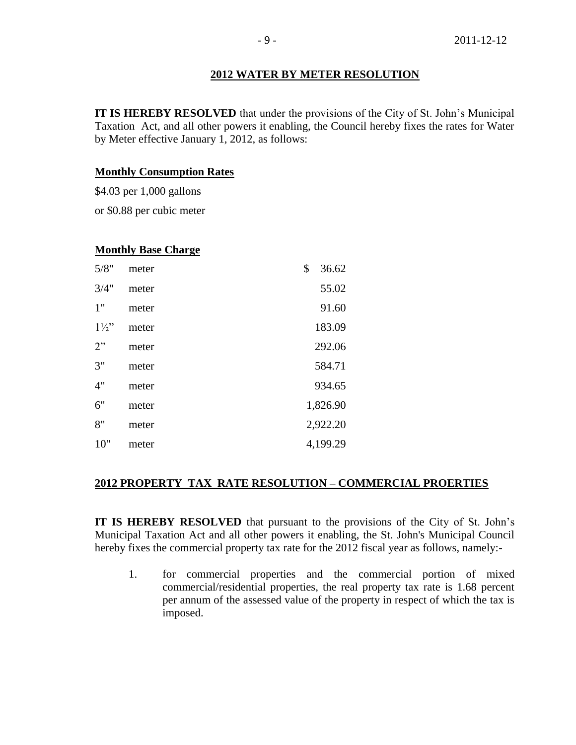#### **2012 WATER BY METER RESOLUTION**

**IT IS HEREBY RESOLVED** that under the provisions of the City of St. John's Municipal Taxation Act, and all other powers it enabling, the Council hereby fixes the rates for Water by Meter effective January 1, 2012, as follows:

#### **Monthly Consumption Rates**

\$4.03 per 1,000 gallons

or \$0.88 per cubic meter

#### **Monthly Base Charge**

| 5/8"           | meter | \$<br>36.62 |
|----------------|-------|-------------|
| 3/4"           | meter | 55.02       |
| 1"             | meter | 91.60       |
| $1\frac{1}{2}$ | meter | 183.09      |
| 2"             | meter | 292.06      |
| 3"             | meter | 584.71      |
| 4"             | meter | 934.65      |
| 6"             | meter | 1,826.90    |
| 8"             | meter | 2,922.20    |
| 10"            | meter | 4,199.29    |

# **2012 PROPERTY TAX RATE RESOLUTION – COMMERCIAL PROERTIES**

**IT IS HEREBY RESOLVED** that pursuant to the provisions of the City of St. John's Municipal Taxation Act and all other powers it enabling, the St. John's Municipal Council hereby fixes the commercial property tax rate for the 2012 fiscal year as follows, namely:-

1. for commercial properties and the commercial portion of mixed commercial/residential properties, the real property tax rate is 1.68 percent per annum of the assessed value of the property in respect of which the tax is imposed.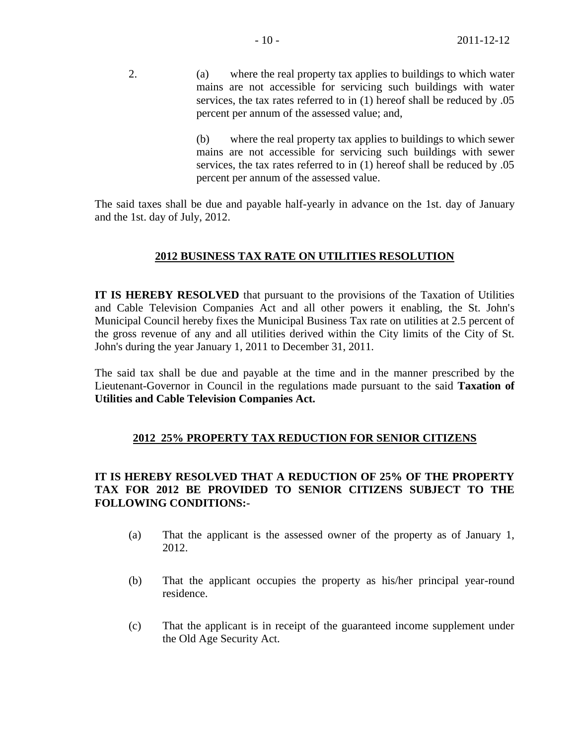2. (a) where the real property tax applies to buildings to which water mains are not accessible for servicing such buildings with water services, the tax rates referred to in (1) hereof shall be reduced by .05 percent per annum of the assessed value; and,

> (b) where the real property tax applies to buildings to which sewer mains are not accessible for servicing such buildings with sewer services, the tax rates referred to in (1) hereof shall be reduced by .05 percent per annum of the assessed value.

The said taxes shall be due and payable half-yearly in advance on the 1st. day of January and the 1st. day of July, 2012.

# **2012 BUSINESS TAX RATE ON UTILITIES RESOLUTION**

**IT IS HEREBY RESOLVED** that pursuant to the provisions of the Taxation of Utilities and Cable Television Companies Act and all other powers it enabling, the St. John's Municipal Council hereby fixes the Municipal Business Tax rate on utilities at 2.5 percent of the gross revenue of any and all utilities derived within the City limits of the City of St. John's during the year January 1, 2011 to December 31, 2011.

The said tax shall be due and payable at the time and in the manner prescribed by the Lieutenant-Governor in Council in the regulations made pursuant to the said **Taxation of Utilities and Cable Television Companies Act.**

# **2012 25% PROPERTY TAX REDUCTION FOR SENIOR CITIZENS**

# **IT IS HEREBY RESOLVED THAT A REDUCTION OF 25% OF THE PROPERTY TAX FOR 2012 BE PROVIDED TO SENIOR CITIZENS SUBJECT TO THE FOLLOWING CONDITIONS:-**

- (a) That the applicant is the assessed owner of the property as of January 1, 2012.
- (b) That the applicant occupies the property as his/her principal year-round residence.
- (c) That the applicant is in receipt of the guaranteed income supplement under the Old Age Security Act.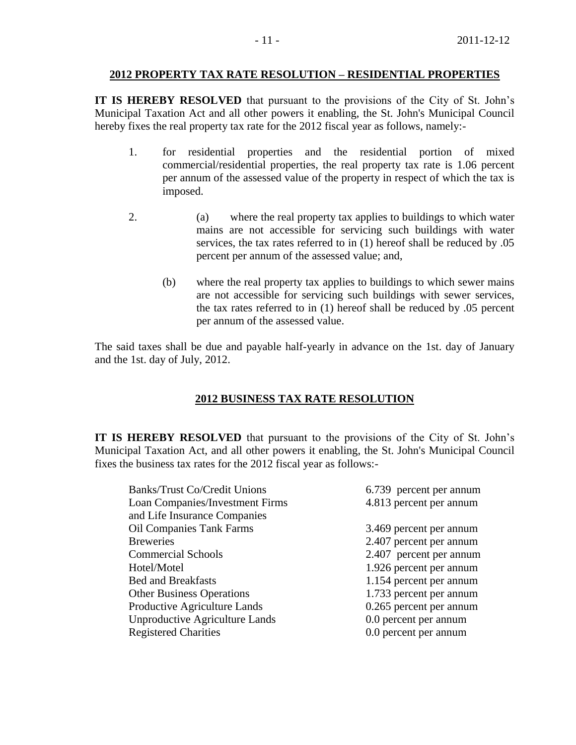#### **2012 PROPERTY TAX RATE RESOLUTION – RESIDENTIAL PROPERTIES**

**IT IS HEREBY RESOLVED** that pursuant to the provisions of the City of St. John's Municipal Taxation Act and all other powers it enabling, the St. John's Municipal Council hereby fixes the real property tax rate for the 2012 fiscal year as follows, namely:-

- 1. for residential properties and the residential portion of mixed commercial/residential properties, the real property tax rate is 1.06 percent per annum of the assessed value of the property in respect of which the tax is imposed.
- 2. (a) where the real property tax applies to buildings to which water mains are not accessible for servicing such buildings with water services, the tax rates referred to in (1) hereof shall be reduced by .05 percent per annum of the assessed value; and,
	- (b) where the real property tax applies to buildings to which sewer mains are not accessible for servicing such buildings with sewer services, the tax rates referred to in (1) hereof shall be reduced by .05 percent per annum of the assessed value.

The said taxes shall be due and payable half-yearly in advance on the 1st. day of January and the 1st. day of July, 2012.

## **2012 BUSINESS TAX RATE RESOLUTION**

**IT IS HEREBY RESOLVED** that pursuant to the provisions of the City of St. John's Municipal Taxation Act, and all other powers it enabling, the St. John's Municipal Council fixes the business tax rates for the 2012 fiscal year as follows:-

| <b>Banks/Trust Co/Credit Unions</b>   | 6.739 percent per annum |
|---------------------------------------|-------------------------|
| Loan Companies/Investment Firms       | 4.813 percent per annum |
| and Life Insurance Companies          |                         |
| <b>Oil Companies Tank Farms</b>       | 3.469 percent per annum |
| <b>Breweries</b>                      | 2.407 percent per annum |
| <b>Commercial Schools</b>             | 2.407 percent per annum |
| Hotel/Motel                           | 1.926 percent per annum |
| <b>Bed and Breakfasts</b>             | 1.154 percent per annum |
| <b>Other Business Operations</b>      | 1.733 percent per annum |
| Productive Agriculture Lands          | 0.265 percent per annum |
| <b>Unproductive Agriculture Lands</b> | 0.0 percent per annum   |
| <b>Registered Charities</b>           | 0.0 percent per annum   |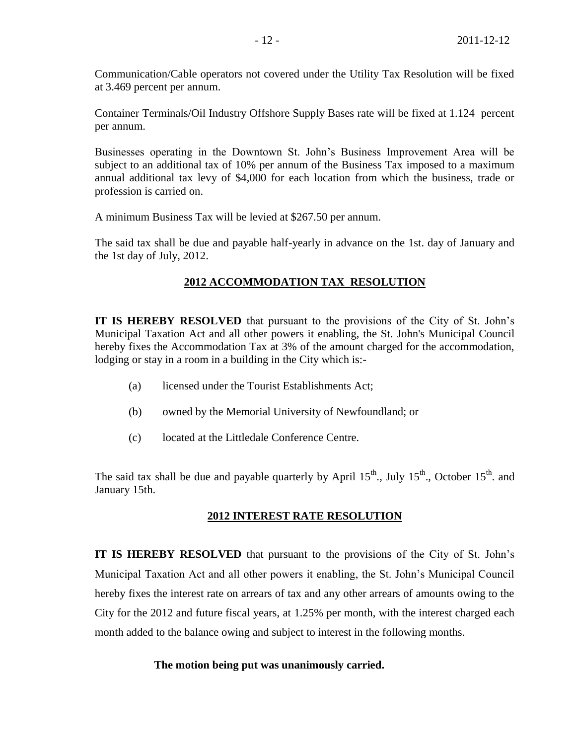Communication/Cable operators not covered under the Utility Tax Resolution will be fixed at 3.469 percent per annum.

Container Terminals/Oil Industry Offshore Supply Bases rate will be fixed at 1.124 percent per annum.

Businesses operating in the Downtown St. John's Business Improvement Area will be subject to an additional tax of 10% per annum of the Business Tax imposed to a maximum annual additional tax levy of \$4,000 for each location from which the business, trade or profession is carried on.

A minimum Business Tax will be levied at \$267.50 per annum.

The said tax shall be due and payable half-yearly in advance on the 1st. day of January and the 1st day of July, 2012.

# **2012 ACCOMMODATION TAX RESOLUTION**

**IT IS HEREBY RESOLVED** that pursuant to the provisions of the City of St. John's Municipal Taxation Act and all other powers it enabling, the St. John's Municipal Council hereby fixes the Accommodation Tax at 3% of the amount charged for the accommodation, lodging or stay in a room in a building in the City which is:-

- (a) licensed under the Tourist Establishments Act;
- (b) owned by the Memorial University of Newfoundland; or
- (c) located at the Littledale Conference Centre.

The said tax shall be due and payable quarterly by April  $15<sup>th</sup>$ , July  $15<sup>th</sup>$ , October  $15<sup>th</sup>$  and January 15th.

## **2012 INTEREST RATE RESOLUTION**

**IT IS HEREBY RESOLVED** that pursuant to the provisions of the City of St. John's Municipal Taxation Act and all other powers it enabling, the St. John's Municipal Council hereby fixes the interest rate on arrears of tax and any other arrears of amounts owing to the City for the 2012 and future fiscal years, at 1.25% per month, with the interest charged each month added to the balance owing and subject to interest in the following months.

## **The motion being put was unanimously carried.**